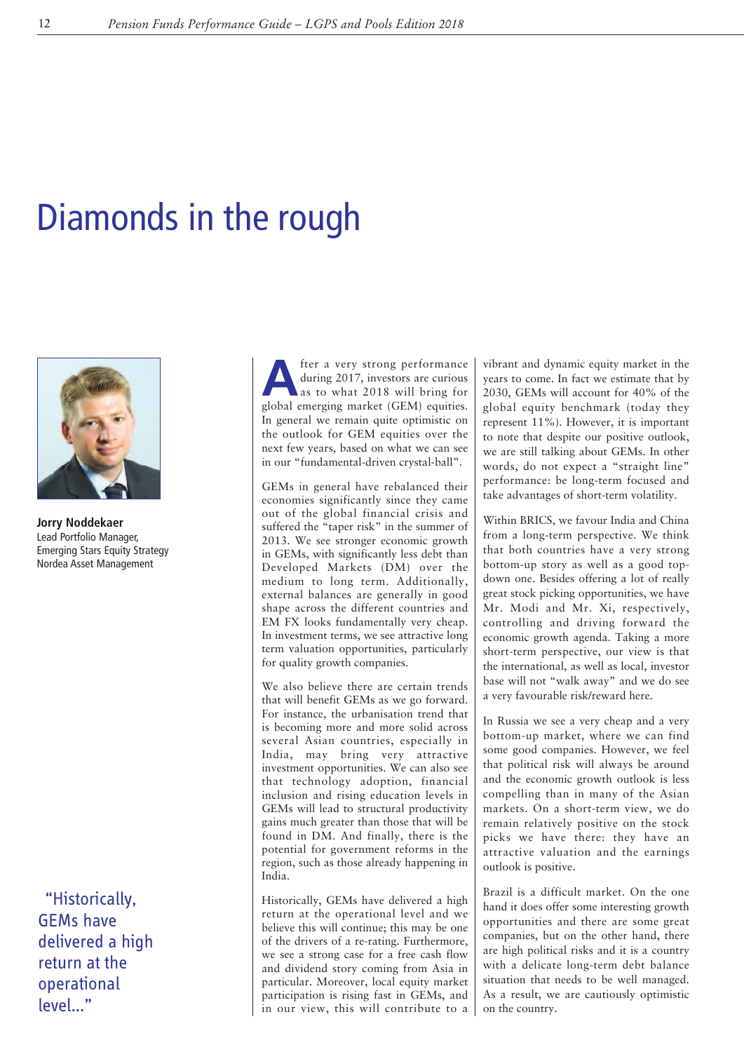## Diamonds in the rough



**Jorry Noddekaer** Lead Portfolio Manager, Emerging Stars Equity Strategy Nordea Asset Management

"Historically, GEMs have delivered a high return at the operational level…"

**A** fter a very strong performance<br>during 2017, investors are curious<br>as to what 2018 will bring for<br>clobal emerging market (CEM) equities during 2017, investors are curious global emerging market (GEM) equities. In general we remain quite optimistic on the outlook for GEM equities over the next few years, based on what we can see in our "fundamental-driven crystal-ball".

GEMs in general have rebalanced their economies significantly since they came out of the global financial crisis and suffered the "taper risk" in the summer of 2013. We see stronger economic growth in GEMs, with significantly less debt than Developed Markets (DM) over the medium to long term. Additionally, external balances are generally in good shape across the different countries and EM FX looks fundamentally very cheap. In investment terms, we see attractive long term valuation opportunities, particularly for quality growth companies.

We also believe there are certain trends that will benefit GEMs as we go forward. For instance, the urbanisation trend that is becoming more and more solid across several Asian countries, especially in India, may bring very attractive investment opportunities. We can also see that technology adoption, financial inclusion and rising education levels in GEMs will lead to structural productivity gains much greater than those that will be found in DM. And finally, there is the potential for government reforms in the region, such as those already happening in India.

Historically, GEMs have delivered a high return at the operational level and we believe this will continue; this may be one of the drivers of a re-rating. Furthermore, we see a strong case for a free cash flow and dividend story coming from Asia in particular. Moreover, local equity market participation is rising fast in GEMs, and in our view, this will contribute to a

vibrant and dynamic equity market in the years to come. In fact we estimate that by 2030, GEMs will account for 40% of the global equity benchmark (today they represent 11%). However, it is important to note that despite our positive outlook, we are still talking about GEMs. In other words, do not expect a "straight line" performance: be long-term focused and take advantages of short-term volatility.

Within BRICS, we favour India and China from a long-term perspective. We think that both countries have a very strong bottom-up story as well as a good topdown one. Besides offering a lot of really great stock picking opportunities, we have Mr. Modi and Mr. Xi, respectively, controlling and driving forward the economic growth agenda. Taking a more short-term perspective, our view is that the international, as well as local, investor base will not "walk away" and we do see a very favourable risk/reward here.

In Russia we see a very cheap and a very bottom-up market, where we can find some good companies. However, we feel that political risk will always be around and the economic growth outlook is less compelling than in many of the Asian markets. On a short-term view, we do remain relatively positive on the stock picks we have there: they have an attractive valuation and the earnings outlook is positive.

Brazil is a difficult market. On the one hand it does offer some interesting growth opportunities and there are some great companies, but on the other hand, there are high political risks and it is a country with a delicate long-term debt balance situation that needs to be well managed. As a result, we are cautiously optimistic on the country.